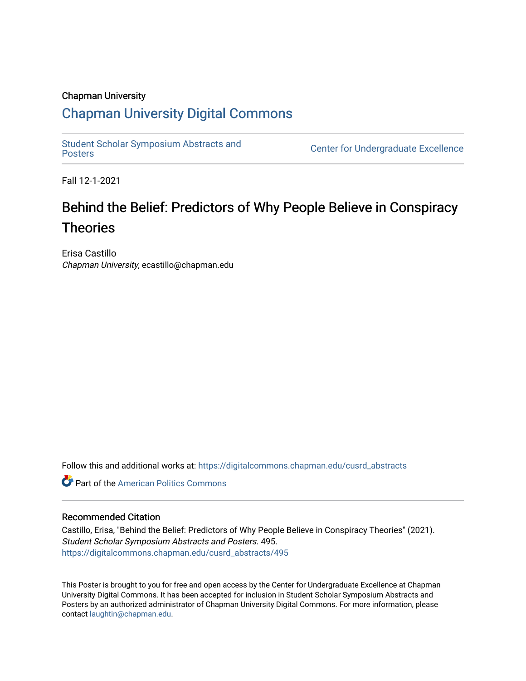#### Chapman University

#### [Chapman University Digital Commons](https://digitalcommons.chapman.edu/)

[Student Scholar Symposium Abstracts and](https://digitalcommons.chapman.edu/cusrd_abstracts) 

**Center for Undergraduate Excellence** 

Fall 12-1-2021

#### Behind the Belief: Predictors of Why People Believe in Conspiracy Theories

Erisa Castillo Chapman University, ecastillo@chapman.edu

Follow this and additional works at: [https://digitalcommons.chapman.edu/cusrd\\_abstracts](https://digitalcommons.chapman.edu/cusrd_abstracts?utm_source=digitalcommons.chapman.edu%2Fcusrd_abstracts%2F495&utm_medium=PDF&utm_campaign=PDFCoverPages) 

**C** Part of the American Politics Commons

#### Recommended Citation

Castillo, Erisa, "Behind the Belief: Predictors of Why People Believe in Conspiracy Theories" (2021). Student Scholar Symposium Abstracts and Posters. 495. [https://digitalcommons.chapman.edu/cusrd\\_abstracts/495](https://digitalcommons.chapman.edu/cusrd_abstracts/495?utm_source=digitalcommons.chapman.edu%2Fcusrd_abstracts%2F495&utm_medium=PDF&utm_campaign=PDFCoverPages) 

This Poster is brought to you for free and open access by the Center for Undergraduate Excellence at Chapman University Digital Commons. It has been accepted for inclusion in Student Scholar Symposium Abstracts and Posters by an authorized administrator of Chapman University Digital Commons. For more information, please contact [laughtin@chapman.edu](mailto:laughtin@chapman.edu).